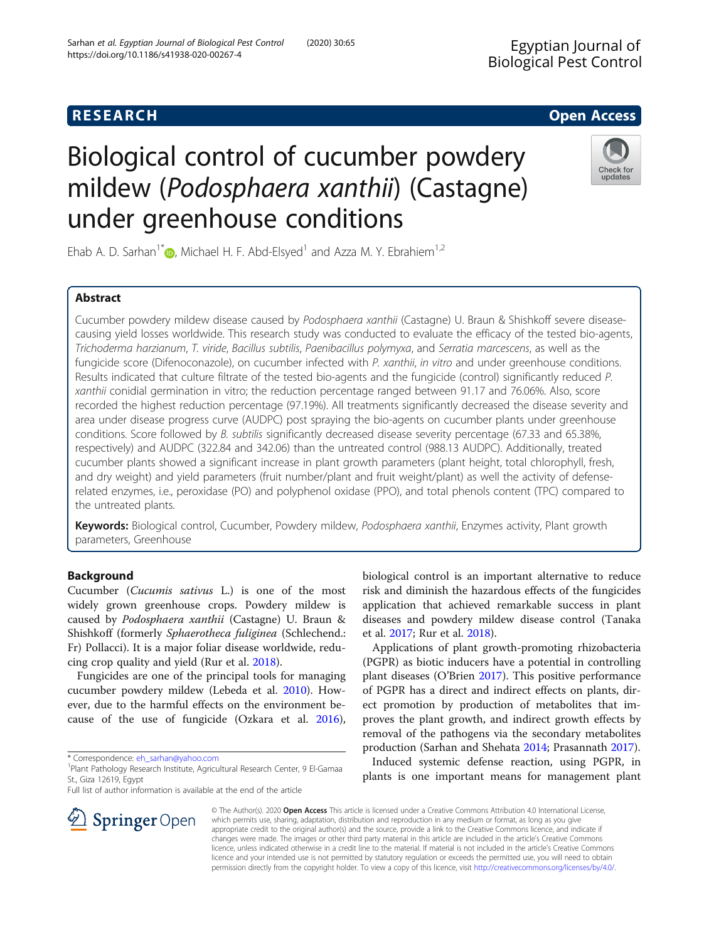# Biological control of cucumber powdery mildew (Podosphaera xanthii) (Castagne) under greenhouse conditions

Ehab A. D. Sarhan<sup>1</sup><sup>[\\*](https://orcid.org/0000-0002-9364-3966)</sup> <sub>(b</sub>), Michael H. F. Abd-Elsyed<sup>1</sup> and Azza M. Y. Ebrahiem<sup>1,2</sup>

# Abstract

Cucumber powdery mildew disease caused by Podosphaera xanthii (Castagne) U. Braun & Shishkoff severe diseasecausing yield losses worldwide. This research study was conducted to evaluate the efficacy of the tested bio-agents, Trichoderma harzianum, T. viride, Bacillus subtilis, Paenibacillus polymyxa, and Serratia marcescens, as well as the fungicide score (Difenoconazole), on cucumber infected with P. xanthii, in vitro and under greenhouse conditions. Results indicated that culture filtrate of the tested bio-agents and the fungicide (control) significantly reduced P. xanthii conidial germination in vitro; the reduction percentage ranged between 91.17 and 76.06%. Also, score recorded the highest reduction percentage (97.19%). All treatments significantly decreased the disease severity and area under disease progress curve (AUDPC) post spraying the bio-agents on cucumber plants under greenhouse conditions. Score followed by B. subtilis significantly decreased disease severity percentage (67.33 and 65.38%, respectively) and AUDPC (322.84 and 342.06) than the untreated control (988.13 AUDPC). Additionally, treated cucumber plants showed a significant increase in plant growth parameters (plant height, total chlorophyll, fresh, and dry weight) and yield parameters (fruit number/plant and fruit weight/plant) as well the activity of defenserelated enzymes, i.e., peroxidase (PO) and polyphenol oxidase (PPO), and total phenols content (TPC) compared to the untreated plants.

Keywords: Biological control, Cucumber, Powdery mildew, Podosphaera xanthii, Enzymes activity, Plant growth parameters, Greenhouse

# Background

Cucumber (Cucumis sativus L.) is one of the most widely grown greenhouse crops. Powdery mildew is caused by Podosphaera xanthii (Castagne) U. Braun & Shishkoff (formerly Sphaerotheca fuliginea (Schlechend.: Fr) Pollacci). It is a major foliar disease worldwide, reducing crop quality and yield (Rur et al. [2018\)](#page-6-0).

Fungicides are one of the principal tools for managing cucumber powdery mildew (Lebeda et al. [2010\)](#page-6-0). However, due to the harmful effects on the environment because of the use of fungicide (Ozkara et al. [2016](#page-6-0)),

\* Correspondence: [eh\\_sarhan@yahoo.com](mailto:eh_sarhan@yahoo.com) <sup>1</sup>

SpringerOpen

Full list of author information is available at the end of the article

biological control is an important alternative to reduce risk and diminish the hazardous effects of the fungicides application that achieved remarkable success in plant diseases and powdery mildew disease control (Tanaka et al. [2017;](#page-6-0) Rur et al. [2018](#page-6-0)).

Applications of plant growth-promoting rhizobacteria (PGPR) as biotic inducers have a potential in controlling plant diseases (O'Brien [2017](#page-6-0)). This positive performance of PGPR has a direct and indirect effects on plants, direct promotion by production of metabolites that improves the plant growth, and indirect growth effects by removal of the pathogens via the secondary metabolites production (Sarhan and Shehata [2014;](#page-6-0) Prasannath [2017\)](#page-6-0).

Induced systemic defense reaction, using PGPR, in plants is one important means for management plant

© The Author(s). 2020 Open Access This article is licensed under a Creative Commons Attribution 4.0 International License, which permits use, sharing, adaptation, distribution and reproduction in any medium or format, as long as you give appropriate credit to the original author(s) and the source, provide a link to the Creative Commons licence, and indicate if changes were made. The images or other third party material in this article are included in the article's Creative Commons licence, unless indicated otherwise in a credit line to the material. If material is not included in the article's Creative Commons licence and your intended use is not permitted by statutory regulation or exceeds the permitted use, you will need to obtain permission directly from the copyright holder. To view a copy of this licence, visit <http://creativecommons.org/licenses/by/4.0/>.





**RESEARCH CHE Open Access** 

Plant Pathology Research Institute, Agricultural Research Center, 9 El-Gamaa St., Giza 12619, Egypt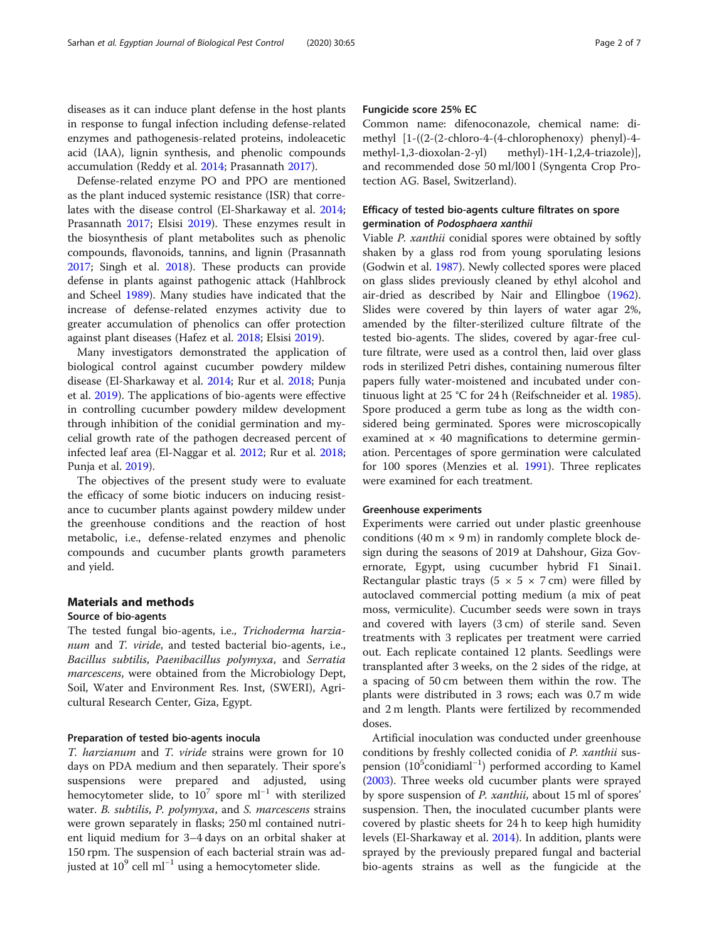diseases as it can induce plant defense in the host plants in response to fungal infection including defense-related enzymes and pathogenesis-related proteins, indoleacetic acid (IAA), lignin synthesis, and phenolic compounds accumulation (Reddy et al. [2014](#page-6-0); Prasannath [2017\)](#page-6-0).

Defense-related enzyme PO and PPO are mentioned as the plant induced systemic resistance (ISR) that correlates with the disease control (El-Sharkaway et al. [2014](#page-6-0); Prasannath [2017](#page-6-0); Elsisi [2019\)](#page-6-0). These enzymes result in the biosynthesis of plant metabolites such as phenolic compounds, flavonoids, tannins, and lignin (Prasannath [2017](#page-6-0); Singh et al. [2018\)](#page-6-0). These products can provide defense in plants against pathogenic attack (Hahlbrock and Scheel [1989](#page-6-0)). Many studies have indicated that the increase of defense-related enzymes activity due to greater accumulation of phenolics can offer protection against plant diseases (Hafez et al. [2018;](#page-6-0) Elsisi [2019](#page-6-0)).

Many investigators demonstrated the application of biological control against cucumber powdery mildew disease (El-Sharkaway et al. [2014;](#page-6-0) Rur et al. [2018;](#page-6-0) Punja et al. [2019](#page-6-0)). The applications of bio-agents were effective in controlling cucumber powdery mildew development through inhibition of the conidial germination and mycelial growth rate of the pathogen decreased percent of infected leaf area (El-Naggar et al. [2012](#page-6-0); Rur et al. [2018](#page-6-0); Punja et al. [2019\)](#page-6-0).

The objectives of the present study were to evaluate the efficacy of some biotic inducers on inducing resistance to cucumber plants against powdery mildew under the greenhouse conditions and the reaction of host metabolic, i.e., defense-related enzymes and phenolic compounds and cucumber plants growth parameters and yield.

# Materials and methods

# Source of bio-agents

The tested fungal bio-agents, i.e., Trichoderma harzianum and T. viride, and tested bacterial bio-agents, i.e., Bacillus subtilis, Paenibacillus polymyxa, and Serratia marcescens, were obtained from the Microbiology Dept, Soil, Water and Environment Res. Inst, (SWERI), Agricultural Research Center, Giza, Egypt.

#### Preparation of tested bio-agents inocula

T. harzianum and T. viride strains were grown for 10 days on PDA medium and then separately. Their spore's suspensions were prepared and adjusted, using hemocytometer slide, to  $10^7$  spore ml<sup>-1</sup> with sterilized water. B. subtilis, P. polymyxa, and S. marcescens strains were grown separately in flasks; 250 ml contained nutrient liquid medium for 3–4 days on an orbital shaker at 150 rpm. The suspension of each bacterial strain was adjusted at  $10^9$  cell ml<sup>−1</sup> using a hemocytometer slide.

# Fungicide score 25% EC

Common name: difenoconazole, chemical name: dimethyl [1-((2-(2-chloro-4-(4-chlorophenoxy) phenyl)-4 methyl-1,3-dioxolan-2-yl) methyl)-1H-1,2,4-triazole)], and recommended dose 50 ml/l00 l (Syngenta Crop Protection AG. Basel, Switzerland).

# Efficacy of tested bio-agents culture filtrates on spore germination of Podosphaera xanthii

Viable P. xanthii conidial spores were obtained by softly shaken by a glass rod from young sporulating lesions (Godwin et al. [1987](#page-6-0)). Newly collected spores were placed on glass slides previously cleaned by ethyl alcohol and air-dried as described by Nair and Ellingboe ([1962](#page-6-0)). Slides were covered by thin layers of water agar 2%, amended by the filter-sterilized culture filtrate of the tested bio-agents. The slides, covered by agar-free culture filtrate, were used as a control then, laid over glass rods in sterilized Petri dishes, containing numerous filter papers fully water-moistened and incubated under continuous light at 25 °C for 24 h (Reifschneider et al. [1985](#page-6-0)). Spore produced a germ tube as long as the width considered being germinated. Spores were microscopically examined at  $\times$  40 magnifications to determine germination. Percentages of spore germination were calculated for 100 spores (Menzies et al. [1991](#page-6-0)). Three replicates were examined for each treatment.

# Greenhouse experiments

Experiments were carried out under plastic greenhouse conditions (40 m  $\times$  9 m) in randomly complete block design during the seasons of 2019 at Dahshour, Giza Governorate, Egypt, using cucumber hybrid F1 Sinai1. Rectangular plastic trays ( $5 \times 5 \times 7$  cm) were filled by autoclaved commercial potting medium (a mix of peat moss, vermiculite). Cucumber seeds were sown in trays and covered with layers (3 cm) of sterile sand. Seven treatments with 3 replicates per treatment were carried out. Each replicate contained 12 plants. Seedlings were transplanted after 3 weeks, on the 2 sides of the ridge, at a spacing of 50 cm between them within the row. The plants were distributed in 3 rows; each was 0.7 m wide and 2 m length. Plants were fertilized by recommended doses.

Artificial inoculation was conducted under greenhouse conditions by freshly collected conidia of P. xanthii suspension (10<sup>5</sup>conidiaml<sup>-1</sup>) performed according to Kamel ([2003\)](#page-6-0). Three weeks old cucumber plants were sprayed by spore suspension of P. xanthii, about 15 ml of spores' suspension. Then, the inoculated cucumber plants were covered by plastic sheets for 24 h to keep high humidity levels (El-Sharkaway et al. [2014](#page-6-0)). In addition, plants were sprayed by the previously prepared fungal and bacterial bio-agents strains as well as the fungicide at the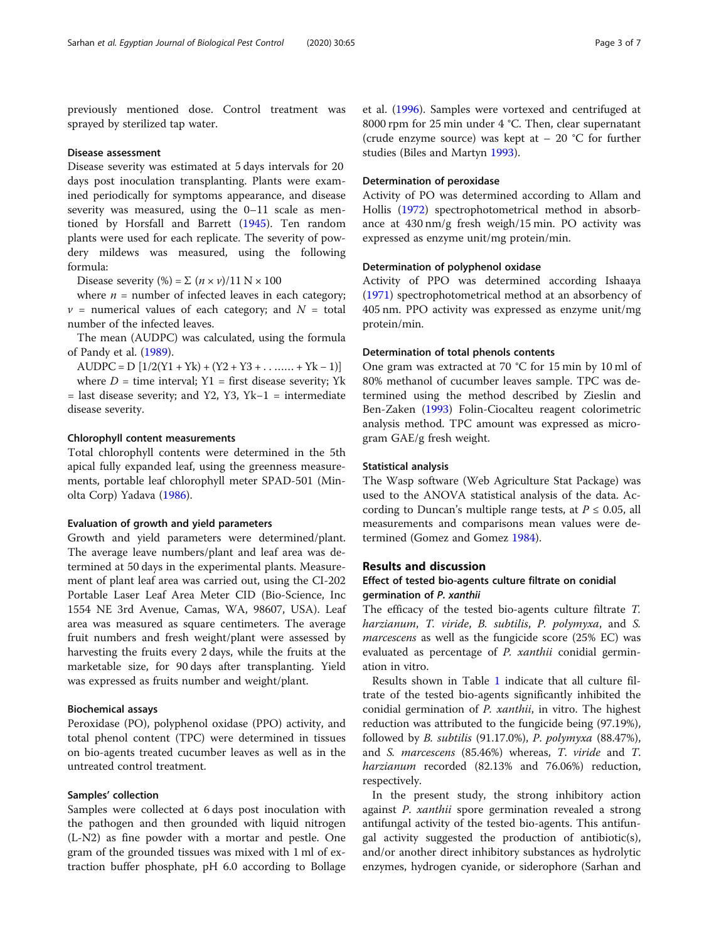previously mentioned dose. Control treatment was sprayed by sterilized tap water.

#### Disease assessment

Disease severity was estimated at 5 days intervals for 20 days post inoculation transplanting. Plants were examined periodically for symptoms appearance, and disease severity was measured, using the 0–11 scale as mentioned by Horsfall and Barrett [\(1945\)](#page-6-0). Ten random plants were used for each replicate. The severity of powdery mildews was measured, using the following formula:

Disease severity (%) =  $\Sigma$  ( $n \times v$ )/11 N × 100

where  $n =$  number of infected leaves in each category;  $v =$  numerical values of each category; and  $N =$  total number of the infected leaves.

The mean (AUDPC) was calculated, using the formula of Pandy et al. [\(1989\)](#page-6-0).

AUDPC =  $D [1/2(Y1 + Yk) + (Y2 + Y3 + \ldots + Yk - 1)]$ where  $D =$  time interval; Y1 = first disease severity; Yk = last disease severity; and Y2, Y3, Yk−1 = intermediate disease severity.

# Chlorophyll content measurements

Total chlorophyll contents were determined in the 5th apical fully expanded leaf, using the greenness measurements, portable leaf chlorophyll meter SPAD-501 (Minolta Corp) Yadava ([1986](#page-6-0)).

#### Evaluation of growth and yield parameters

Growth and yield parameters were determined/plant. The average leave numbers/plant and leaf area was determined at 50 days in the experimental plants. Measurement of plant leaf area was carried out, using the CI-202 Portable Laser Leaf Area Meter CID (Bio-Science, Inc 1554 NE 3rd Avenue, Camas, WA, 98607, USA). Leaf area was measured as square centimeters. The average fruit numbers and fresh weight/plant were assessed by harvesting the fruits every 2 days, while the fruits at the marketable size, for 90 days after transplanting. Yield was expressed as fruits number and weight/plant.

# Biochemical assays

Peroxidase (PO), polyphenol oxidase (PPO) activity, and total phenol content (TPC) were determined in tissues on bio-agents treated cucumber leaves as well as in the untreated control treatment.

# Samples' collection

Samples were collected at 6 days post inoculation with the pathogen and then grounded with liquid nitrogen (L-N2) as fine powder with a mortar and pestle. One gram of the grounded tissues was mixed with 1 ml of extraction buffer phosphate, pH 6.0 according to Bollage

et al. ([1996](#page-6-0)). Samples were vortexed and centrifuged at 8000 rpm for 25 min under 4 °C. Then, clear supernatant (crude enzyme source) was kept at  $-20$  °C for further studies (Biles and Martyn [1993\)](#page-6-0).

# Determination of peroxidase

Activity of PO was determined according to Allam and Hollis [\(1972\)](#page-6-0) spectrophotometrical method in absorbance at 430 nm/g fresh weigh/15 min. PO activity was expressed as enzyme unit/mg protein/min.

# Determination of polyphenol oxidase

Activity of PPO was determined according Ishaaya ([1971\)](#page-6-0) spectrophotometrical method at an absorbency of 405 nm. PPO activity was expressed as enzyme unit/mg protein/min.

# Determination of total phenols contents

One gram was extracted at 70 °C for 15 min by 10 ml of 80% methanol of cucumber leaves sample. TPC was determined using the method described by Zieslin and Ben-Zaken ([1993](#page-6-0)) Folin-Ciocalteu reagent colorimetric analysis method. TPC amount was expressed as microgram GAE/g fresh weight.

# Statistical analysis

The Wasp software (Web Agriculture Stat Package) was used to the ANOVA statistical analysis of the data. According to Duncan's multiple range tests, at  $P \le 0.05$ , all measurements and comparisons mean values were determined (Gomez and Gomez [1984\)](#page-6-0).

# Results and discussion

# Effect of tested bio-agents culture filtrate on conidial germination of P. xanthii

The efficacy of the tested bio-agents culture filtrate T. harzianum, T. viride, B. subtilis, P. polymyxa, and S. marcescens as well as the fungicide score (25% EC) was evaluated as percentage of *P. xanthii* conidial germination in vitro.

Results shown in Table [1](#page-3-0) indicate that all culture filtrate of the tested bio-agents significantly inhibited the conidial germination of P. xanthii, in vitro. The highest reduction was attributed to the fungicide being (97.19%), followed by B. subtilis (91.17.0%), P. polymyxa (88.47%), and S. marcescens (85.46%) whereas, T. viride and T. harzianum recorded (82.13% and 76.06%) reduction, respectively.

In the present study, the strong inhibitory action against P. xanthii spore germination revealed a strong antifungal activity of the tested bio-agents. This antifungal activity suggested the production of antibiotic(s), and/or another direct inhibitory substances as hydrolytic enzymes, hydrogen cyanide, or siderophore (Sarhan and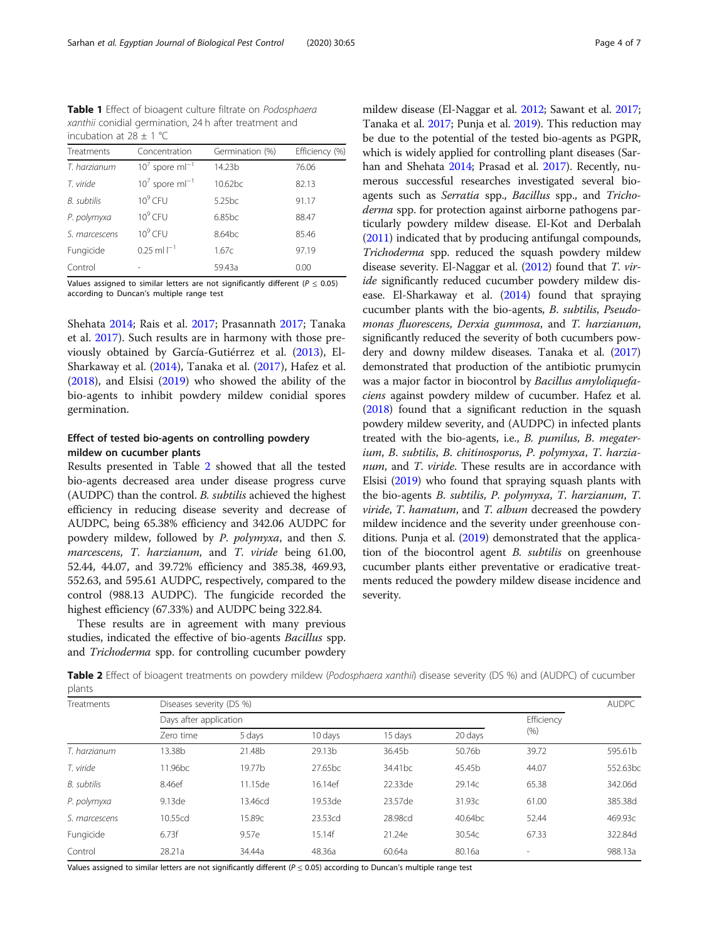<span id="page-3-0"></span>Table 1 Effect of bioagent culture filtrate on Podosphaera xanthii conidial germination, 24 h after treatment and incubation at  $28 \pm 1$  °C

| Treatments         | Concentration                 | Germination (%)    | Efficiency (%) |  |
|--------------------|-------------------------------|--------------------|----------------|--|
| T. harzianum       | $107$ spore m $I^{-1}$        | 14.23b             | 76.06          |  |
| T. viride          | $10^7$ spore ml <sup>-1</sup> | $10.62$ bc         | 82.13          |  |
| <b>B.</b> subtilis | $10^9$ CFU                    | 5.25 <sub>bc</sub> | 91.17          |  |
| P. polymyxa        | $10^9$ CFU                    | $6.85$ bc          | 88.47          |  |
| S. marcescens      | $10^9$ CFU                    | 8.64 <sub>bc</sub> | 85.46          |  |
| Fungicide          | $0.25$ ml $I^{-1}$            | 1.67c              | 97.19          |  |
| Control            |                               | 59.43a             | 0.00           |  |

Values assigned to similar letters are not significantly different ( $P \le 0.05$ ) according to Duncan's multiple range test

Shehata [2014;](#page-6-0) Rais et al. [2017;](#page-6-0) Prasannath [2017;](#page-6-0) Tanaka et al. [2017](#page-6-0)). Such results are in harmony with those previously obtained by García-Gutiérrez et al. ([2013\)](#page-6-0), El-Sharkaway et al. [\(2014\)](#page-6-0), Tanaka et al. [\(2017\)](#page-6-0), Hafez et al. ([2018](#page-6-0)), and Elsisi [\(2019\)](#page-6-0) who showed the ability of the bio-agents to inhibit powdery mildew conidial spores germination.

# Effect of tested bio-agents on controlling powdery mildew on cucumber plants

Results presented in Table 2 showed that all the tested bio-agents decreased area under disease progress curve (AUDPC) than the control. B. subtilis achieved the highest efficiency in reducing disease severity and decrease of AUDPC, being 65.38% efficiency and 342.06 AUDPC for powdery mildew, followed by P. polymyxa, and then S. marcescens, T. harzianum, and T. viride being 61.00, 52.44, 44.07, and 39.72% efficiency and 385.38, 469.93, 552.63, and 595.61 AUDPC, respectively, compared to the control (988.13 AUDPC). The fungicide recorded the highest efficiency (67.33%) and AUDPC being 322.84.

These results are in agreement with many previous studies, indicated the effective of bio-agents Bacillus spp. and Trichoderma spp. for controlling cucumber powdery mildew disease (El-Naggar et al. [2012](#page-6-0); Sawant et al. [2017](#page-6-0); Tanaka et al. [2017;](#page-6-0) Punja et al. [2019](#page-6-0)). This reduction may be due to the potential of the tested bio-agents as PGPR, which is widely applied for controlling plant diseases (Sarhan and Shehata [2014](#page-6-0); Prasad et al. [2017\)](#page-6-0). Recently, numerous successful researches investigated several bioagents such as Serratia spp., Bacillus spp., and Trichoderma spp. for protection against airborne pathogens particularly powdery mildew disease. El-Kot and Derbalah ([2011](#page-6-0)) indicated that by producing antifungal compounds, Trichoderma spp. reduced the squash powdery mildew disease severity. El-Naggar et al. [\(2012\)](#page-6-0) found that T. viride significantly reduced cucumber powdery mildew disease. El-Sharkaway et al. [\(2014\)](#page-6-0) found that spraying cucumber plants with the bio-agents, B. subtilis, Pseudomonas fluorescens, Derxia gummosa, and T. harzianum, significantly reduced the severity of both cucumbers powdery and downy mildew diseases. Tanaka et al. [\(2017](#page-6-0)) demonstrated that production of the antibiotic prumycin was a major factor in biocontrol by Bacillus amyloliquefaciens against powdery mildew of cucumber. Hafez et al. ([2018](#page-6-0)) found that a significant reduction in the squash powdery mildew severity, and (AUDPC) in infected plants treated with the bio-agents, i.e., B. pumilus, B. megaterium, B. subtilis, B. chitinosporus, P. polymyxa, T. harzianum, and T. viride. These results are in accordance with Elsisi ([2019\)](#page-6-0) who found that spraying squash plants with the bio-agents B. subtilis, P. polymyxa, T. harzianum, T.  $viride$ , T. hamatum, and T. album decreased the powdery mildew incidence and the severity under greenhouse con-ditions. Punja et al. ([2019\)](#page-6-0) demonstrated that the application of the biocontrol agent B. subtilis on greenhouse cucumber plants either preventative or eradicative treatments reduced the powdery mildew disease incidence and severity.

Table 2 Effect of bioagent treatments on powdery mildew (Podosphaera xanthii) disease severity (DS %) and (AUDPC) of cucumber plants

| Treatments    | Diseases severity (DS %) |         |         |                     |         |            | <b>AUDPC</b> |
|---------------|--------------------------|---------|---------|---------------------|---------|------------|--------------|
|               | Days after application   |         |         |                     |         | Efficiency |              |
|               | Zero time                | 5 days  | 10 days | 15 days             | 20 days | (% )       |              |
| T. harzianum  | 13.38b                   | 21.48b  | 29.13b  | 36.45b              | 50.76b  | 39.72      | 595.61b      |
| T. viride     | 11.96 <sub>bc</sub>      | 19.77b  | 27.65bc | 34.41 <sub>bc</sub> | 45.45b  | 44.07      | 552.63bc     |
| B. subtilis   | 8.46ef                   | 11.15de | 16.14ef | 22.33de             | 29.14c  | 65.38      | 342.06d      |
| P. polymyxa   | 9.13de                   | 13.46cd | 19.53de | 23.57de             | 31.93c  | 61.00      | 385.38d      |
| S. marcescens | 10.55cd                  | 15.89c  | 23.53cd | 28.98cd             | 40.64bc | 52.44      | 469.93c      |
| Fungicide     | 6.73f                    | 9.57e   | 15.14f  | 21.24e              | 30.54c  | 67.33      | 322.84d      |
| Control       | 28.21a                   | 34.44a  | 48.36a  | 60.64a              | 80.16a  | ۰          | 988.13a      |

Values assigned to similar letters are not significantly different ( $P \le 0.05$ ) according to Duncan's multiple range test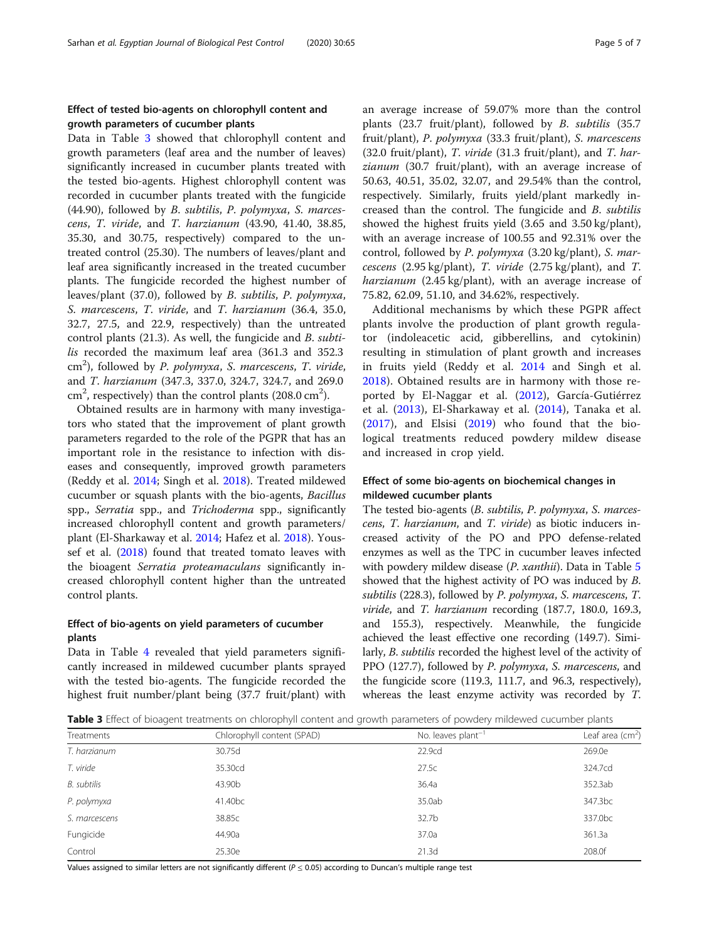# Effect of tested bio-agents on chlorophyll content and growth parameters of cucumber plants

Data in Table 3 showed that chlorophyll content and growth parameters (leaf area and the number of leaves) significantly increased in cucumber plants treated with the tested bio-agents. Highest chlorophyll content was recorded in cucumber plants treated with the fungicide (44.90), followed by B. subtilis, P. polymyxa, S. marcescens, T. viride, and T. harzianum (43.90, 41.40, 38.85, 35.30, and 30.75, respectively) compared to the untreated control (25.30). The numbers of leaves/plant and leaf area significantly increased in the treated cucumber plants. The fungicide recorded the highest number of leaves/plant (37.0), followed by B. subtilis, P. polymyxa, S. marcescens, T. viride, and T. harzianum (36.4, 35.0, 32.7, 27.5, and 22.9, respectively) than the untreated control plants (21.3). As well, the fungicide and B. subtilis recorded the maximum leaf area (361.3 and 352.3 cm<sup>2</sup>), followed by P. polymyxa, S. marcescens, T. viride, and T. harzianum (347.3, 337.0, 324.7, 324.7, and 269.0  $\text{cm}^2$ , respectively) than the control plants (208.0  $\text{cm}^2$ ).

Obtained results are in harmony with many investigators who stated that the improvement of plant growth parameters regarded to the role of the PGPR that has an important role in the resistance to infection with diseases and consequently, improved growth parameters (Reddy et al. [2014;](#page-6-0) Singh et al. [2018](#page-6-0)). Treated mildewed cucumber or squash plants with the bio-agents, Bacillus spp., Serratia spp., and Trichoderma spp., significantly increased chlorophyll content and growth parameters/ plant (El-Sharkaway et al. [2014](#page-6-0); Hafez et al. [2018](#page-6-0)). Youssef et al. [\(2018\)](#page-6-0) found that treated tomato leaves with the bioagent Serratia proteamaculans significantly increased chlorophyll content higher than the untreated control plants.

# Effect of bio-agents on yield parameters of cucumber plants

Data in Table [4](#page-5-0) revealed that yield parameters significantly increased in mildewed cucumber plants sprayed with the tested bio-agents. The fungicide recorded the highest fruit number/plant being (37.7 fruit/plant) with an average increase of 59.07% more than the control plants (23.7 fruit/plant), followed by B. subtilis (35.7 fruit/plant), P. polymyxa (33.3 fruit/plant), S. marcescens  $(32.0 \text{ fruit/plant})$ , T. *viride*  $(31.3 \text{ fruit/plant})$ , and T. *har*zianum (30.7 fruit/plant), with an average increase of 50.63, 40.51, 35.02, 32.07, and 29.54% than the control, respectively. Similarly, fruits yield/plant markedly increased than the control. The fungicide and B. subtilis showed the highest fruits yield (3.65 and 3.50 kg/plant), with an average increase of 100.55 and 92.31% over the control, followed by P. polymyxa (3.20 kg/plant), S. marcescens (2.95 kg/plant), T. viride (2.75 kg/plant), and T. harzianum (2.45 kg/plant), with an average increase of 75.82, 62.09, 51.10, and 34.62%, respectively.

Additional mechanisms by which these PGPR affect plants involve the production of plant growth regulator (indoleacetic acid, gibberellins, and cytokinin) resulting in stimulation of plant growth and increases in fruits yield (Reddy et al. [2014](#page-6-0) and Singh et al. [2018\)](#page-6-0). Obtained results are in harmony with those reported by El-Naggar et al. [\(2012](#page-6-0)), García-Gutiérrez et al. ([2013\)](#page-6-0), El-Sharkaway et al. ([2014\)](#page-6-0), Tanaka et al. ([2017\)](#page-6-0), and Elsisi ([2019\)](#page-6-0) who found that the biological treatments reduced powdery mildew disease and increased in crop yield.

# Effect of some bio-agents on biochemical changes in mildewed cucumber plants

The tested bio-agents (B. subtilis, P. polymyxa, S. marcescens, T. harzianum, and T. viride) as biotic inducers increased activity of the PO and PPO defense-related enzymes as well as the TPC in cucumber leaves infected with powdery mildew disease (P. xanthii). Data in Table [5](#page-5-0) showed that the highest activity of PO was induced by B. subtilis (228.3), followed by P. polymyxa, S. marcescens, T. viride, and T. harzianum recording (187.7, 180.0, 169.3, and 155.3), respectively. Meanwhile, the fungicide achieved the least effective one recording (149.7). Similarly, B. subtilis recorded the highest level of the activity of PPO (127.7), followed by P. polymyxa, S. marcescens, and the fungicide score (119.3, 111.7, and 96.3, respectively), whereas the least enzyme activity was recorded by T.

**Table 3** Effect of bioagent treatments on chlorophyll content and growth parameters of powdery mildewed cucumber plants

| Treatments    | Chlorophyll content (SPAD) | No. leaves $plant^{-1}$ | Leaf area $(cm2)$ |
|---------------|----------------------------|-------------------------|-------------------|
| T. harzianum  | 30.75d                     | 22.9cd                  | 269.0e            |
| T. viride     | 35.30cd                    | 27.5c                   | 324.7cd           |
| B. subtilis   | 43.90b                     | 36.4a                   | 352.3ab           |
| P. polymyxa   | 41.40 <sub>bc</sub>        | 35.0ab                  | 347.3bc           |
| S. marcescens | 38.85c                     | 32.7b                   | 337.0bc           |
| Fungicide     | 44.90a                     | 37.0a                   | 361.3a            |
| Control       | 25.30e                     | 21.3 <sub>d</sub>       | 208.0f            |

Values assigned to similar letters are not significantly different ( $P \le 0.05$ ) according to Duncan's multiple range test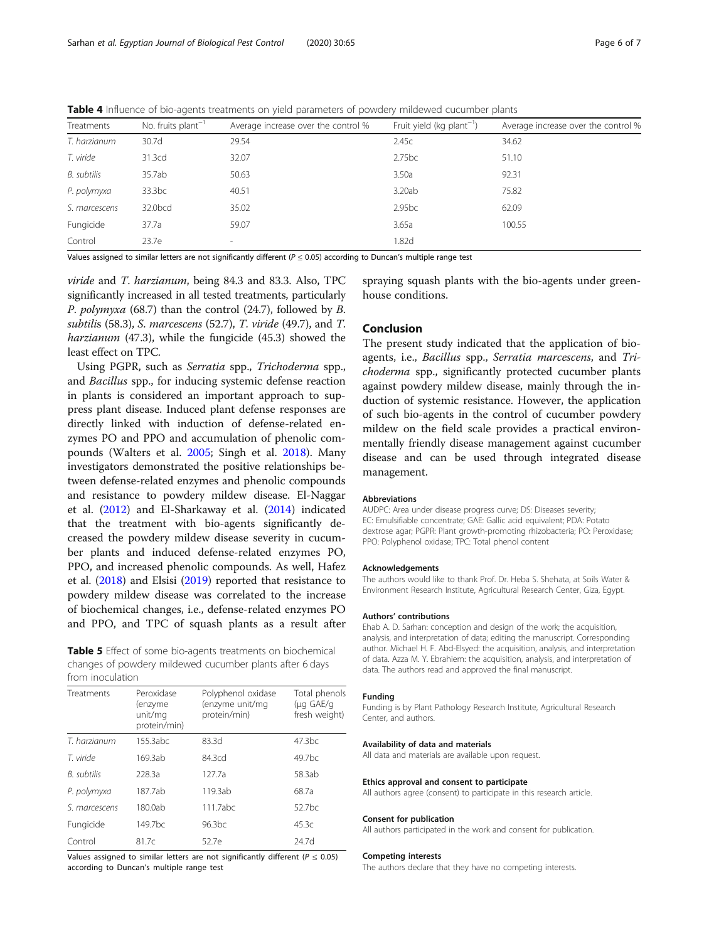<span id="page-5-0"></span>Table 4 Influence of bio-agents treatments on yield parameters of powdery mildewed cucumber plants

| Treatments    | No. fruits $plant^{-1}$ | Average increase over the control % | Fruit yield (kg plant <sup>-1</sup> ) | Average increase over the control % |
|---------------|-------------------------|-------------------------------------|---------------------------------------|-------------------------------------|
| T. harzianum  | 30.7d                   | 29.54                               | 2.45c                                 | 34.62                               |
| T. viride     | 31.3cd                  | 32.07                               | 2.75bc                                | 51.10                               |
| B. subtilis   | 35.7ab                  | 50.63                               | 3.50a                                 | 92.31                               |
| P. polymyxa   | 33.3 <sub>bc</sub>      | 40.51                               | 3.20ab                                | 75.82                               |
| S. marcescens | 32.0bcd                 | 35.02                               | 2.95bc                                | 62.09                               |
| Fungicide     | 37.7a                   | 59.07                               | 3.65a                                 | 100.55                              |
| Control       | 23.7e                   | $\sim$                              | 1.82d                                 |                                     |
|               |                         |                                     |                                       |                                     |

Values assigned to similar letters are not significantly different ( $P \le 0.05$ ) according to Duncan's multiple range test

viride and T. harzianum, being 84.3 and 83.3. Also, TPC significantly increased in all tested treatments, particularly P. polymyxa (68.7) than the control (24.7), followed by B. subtilis (58.3), S. marcescens (52.7), T. viride (49.7), and T. harzianum (47.3), while the fungicide (45.3) showed the least effect on TPC.

Using PGPR, such as Serratia spp., Trichoderma spp., and Bacillus spp., for inducing systemic defense reaction in plants is considered an important approach to suppress plant disease. Induced plant defense responses are directly linked with induction of defense-related enzymes PO and PPO and accumulation of phenolic compounds (Walters et al. [2005;](#page-6-0) Singh et al. [2018](#page-6-0)). Many investigators demonstrated the positive relationships between defense-related enzymes and phenolic compounds and resistance to powdery mildew disease. El-Naggar et al. ([2012](#page-6-0)) and El-Sharkaway et al. [\(2014\)](#page-6-0) indicated that the treatment with bio-agents significantly decreased the powdery mildew disease severity in cucumber plants and induced defense-related enzymes PO, PPO, and increased phenolic compounds. As well, Hafez et al. [\(2018\)](#page-6-0) and Elsisi [\(2019\)](#page-6-0) reported that resistance to powdery mildew disease was correlated to the increase of biochemical changes, i.e., defense-related enzymes PO and PPO, and TPC of squash plants as a result after

Table 5 Effect of some bio-agents treatments on biochemical changes of powdery mildewed cucumber plants after 6 days from inoculation

| <b>Treatments</b> | Peroxidase<br>(enzyme<br>unit/mg<br>protein/min) | Polyphenol oxidase<br>(enzyme unit/mg<br>protein/min) | Total phenols<br>(µg GAE/g<br>fresh weight) |
|-------------------|--------------------------------------------------|-------------------------------------------------------|---------------------------------------------|
| T. harzianum      | 155.3abc                                         | 83.3d                                                 | 47.3 <sub>bc</sub>                          |
| T. viride         | 169.3ab                                          | 84.3cd                                                | 49.7 <sub>bc</sub>                          |
| B. subtilis       | 228.3a                                           | 127.7a                                                | 58.3ab                                      |
| P. polymyxa       | 187.7ab                                          | 119.3ab                                               | 68.7a                                       |
| S. marcescens     | 180.0ab                                          | 111.7abc                                              | $52.7$ bc                                   |
| Fungicide         | 149.7 <sub>bc</sub>                              | 96.3 <sub>bc</sub>                                    | 45.3c                                       |
| Control           | 81.7c                                            | 52.7e                                                 | 24.7d                                       |

Values assigned to similar letters are not significantly different ( $P \le 0.05$ ) according to Duncan's multiple range test

spraying squash plants with the bio-agents under greenhouse conditions.

# Conclusion

The present study indicated that the application of bioagents, i.e., Bacillus spp., Serratia marcescens, and Trichoderma spp., significantly protected cucumber plants against powdery mildew disease, mainly through the induction of systemic resistance. However, the application of such bio-agents in the control of cucumber powdery mildew on the field scale provides a practical environmentally friendly disease management against cucumber disease and can be used through integrated disease management.

#### Abbreviations

AUDPC: Area under disease progress curve; DS: Diseases severity; EC: Emulsifiable concentrate; GAE: Gallic acid equivalent; PDA: Potato dextrose agar; PGPR: Plant growth-promoting rhizobacteria; PO: Peroxidase; PPO: Polyphenol oxidase; TPC: Total phenol content

#### Acknowledgements

The authors would like to thank Prof. Dr. Heba S. Shehata, at Soils Water & Environment Research Institute, Agricultural Research Center, Giza, Egypt.

#### Authors' contributions

Ehab A. D. Sarhan: conception and design of the work; the acquisition, analysis, and interpretation of data; editing the manuscript. Corresponding author. Michael H. F. Abd-Elsyed: the acquisition, analysis, and interpretation of data. Azza M. Y. Ebrahiem: the acquisition, analysis, and interpretation of data. The authors read and approved the final manuscript.

#### Funding

Funding is by Plant Pathology Research Institute, Agricultural Research Center, and authors.

#### Availability of data and materials

All data and materials are available upon request.

#### Ethics approval and consent to participate

All authors agree (consent) to participate in this research article.

#### Consent for publication

All authors participated in the work and consent for publication.

#### Competing interests

The authors declare that they have no competing interests.